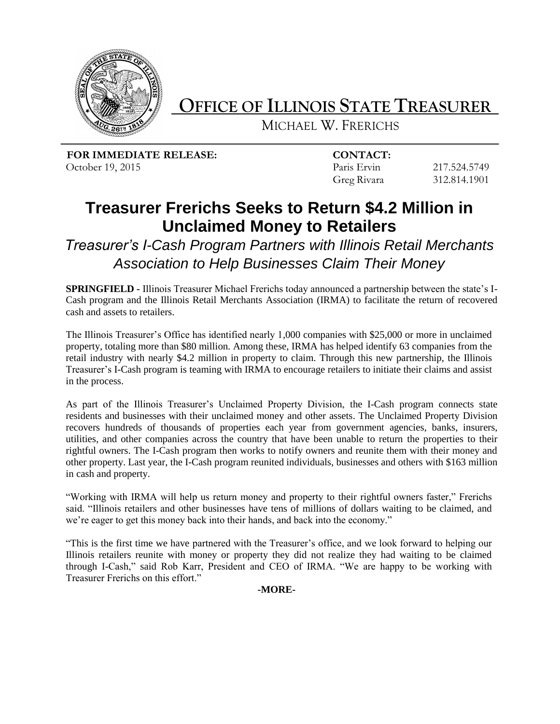

## **OFFICE OF ILLINOIS STATE TREASURER\_**

MICHAEL W. FRERICHS

 **FOR IMMEDIATE RELEASE: CONTACT:**

October 19, 2015 Paris Ervin 217.524.5749 Greg Rivara 312.814.1901

## **Treasurer Frerichs Seeks to Return \$4.2 Million in Unclaimed Money to Retailers**

*Treasurer's I-Cash Program Partners with Illinois Retail Merchants Association to Help Businesses Claim Their Money* 

**SPRINGFIELD -** Illinois Treasurer Michael Frerichs today announced a partnership between the state's I-Cash program and the Illinois Retail Merchants Association (IRMA) to facilitate the return of recovered cash and assets to retailers.

The Illinois Treasurer's Office has identified nearly 1,000 companies with \$25,000 or more in unclaimed property, totaling more than \$80 million. Among these, IRMA has helped identify 63 companies from the retail industry with nearly \$4.2 million in property to claim. Through this new partnership, the Illinois Treasurer's I-Cash program is teaming with IRMA to encourage retailers to initiate their claims and assist in the process.

As part of the Illinois Treasurer's Unclaimed Property Division, the I-Cash program connects state residents and businesses with their unclaimed money and other assets. The Unclaimed Property Division recovers hundreds of thousands of properties each year from government agencies, banks, insurers, utilities, and other companies across the country that have been unable to return the properties to their rightful owners. The I-Cash program then works to notify owners and reunite them with their money and other property. Last year, the I-Cash program reunited individuals, businesses and others with \$163 million in cash and property.

"Working with IRMA will help us return money and property to their rightful owners faster," Frerichs said. "Illinois retailers and other businesses have tens of millions of dollars waiting to be claimed, and we're eager to get this money back into their hands, and back into the economy."

"This is the first time we have partnered with the Treasurer's office, and we look forward to helping our Illinois retailers reunite with money or property they did not realize they had waiting to be claimed through I-Cash," said Rob Karr, President and CEO of IRMA. "We are happy to be working with Treasurer Frerichs on this effort."

**-MORE-**